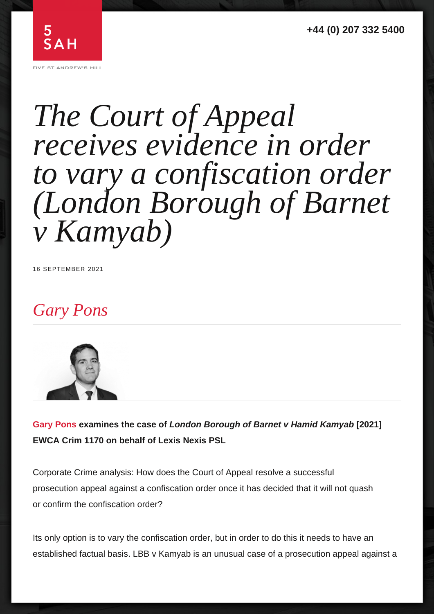# Gary Pons

Gary Pons examines the case of London Borough of Barnet v Hamid Kamyab [2021]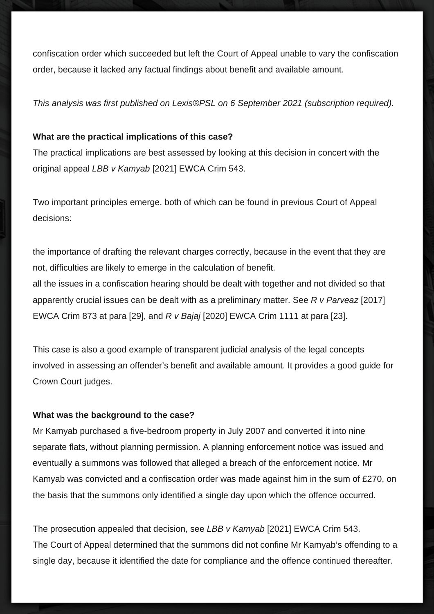confiscation order which succeeded but left the Court of Appeal unable to vary the confiscation order, because it lacked any factual findings about benefit and available amount.

This analysis was first published on Lexis®PSL on 6 September 2021 (subscription required).

## **What are the practical implications of this case?**

The practical implications are best assessed by looking at this decision in concert with the original appeal LBB v Kamyab [2021] EWCA Crim 543.

Two important principles emerge, both of which can be found in previous Court of Appeal decisions:

the importance of drafting the relevant charges correctly, because in the event that they are not, difficulties are likely to emerge in the calculation of benefit.

all the issues in a confiscation hearing should be dealt with together and not divided so that apparently crucial issues can be dealt with as a preliminary matter. See  $R$  v Parveaz [2017] EWCA Crim 873 at para [29], and R v Bajaj [2020] EWCA Crim 1111 at para [23].

This case is also a good example of transparent judicial analysis of the legal concepts involved in assessing an offender's benefit and available amount. It provides a good guide for Crown Court judges.

### **What was the background to the case?**

Mr Kamyab purchased a five-bedroom property in July 2007 and converted it into nine separate flats, without planning permission. A planning enforcement notice was issued and eventually a summons was followed that alleged a breach of the enforcement notice. Mr Kamyab was convicted and a confiscation order was made against him in the sum of £270, on the basis that the summons only identified a single day upon which the offence occurred.

The prosecution appealed that decision, see LBB v Kamyab [2021] EWCA Crim 543. The Court of Appeal determined that the summons did not confine Mr Kamyab's offending to a single day, because it identified the date for compliance and the offence continued thereafter.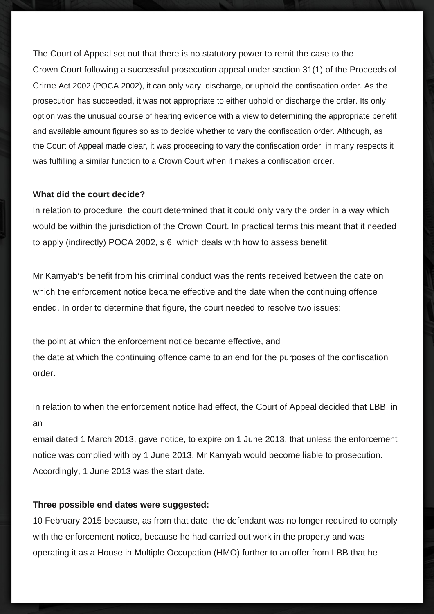The Court of Appeal set out that there is no statutory power to remit the case to the Crown Court following a successful prosecution appeal under section 31(1) of the Proceeds of Crime Act 2002 (POCA 2002), it can only vary, discharge, or uphold the confiscation order. As the prosecution has succeeded, it was not appropriate to either uphold or discharge the order. Its only option was the unusual course of hearing evidence with a view to determining the appropriate benefit and available amount figures so as to decide whether to vary the confiscation order. Although, as the Court of Appeal made clear, it was proceeding to vary the confiscation order, in many respects it was fulfilling a similar function to a Crown Court when it makes a confiscation order.

#### **What did the court decide?**

In relation to procedure, the court determined that it could only vary the order in a way which would be within the jurisdiction of the Crown Court. In practical terms this meant that it needed to apply (indirectly) POCA 2002, s 6, which deals with how to assess benefit.

Mr Kamyab's benefit from his criminal conduct was the rents received between the date on which the enforcement notice became effective and the date when the continuing offence ended. In order to determine that figure, the court needed to resolve two issues:

the point at which the enforcement notice became effective, and the date at which the continuing offence came to an end for the purposes of the confiscation order.

In relation to when the enforcement notice had effect, the Court of Appeal decided that LBB, in an

email dated 1 March 2013, gave notice, to expire on 1 June 2013, that unless the enforcement notice was complied with by 1 June 2013, Mr Kamyab would become liable to prosecution. Accordingly, 1 June 2013 was the start date.

### **Three possible end dates were suggested:**

10 February 2015 because, as from that date, the defendant was no longer required to comply with the enforcement notice, because he had carried out work in the property and was operating it as a House in Multiple Occupation (HMO) further to an offer from LBB that he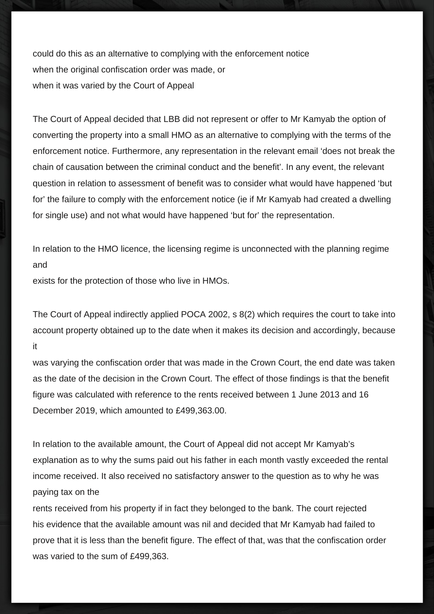could do this as an alternative to complying with the enforcement notice when the original confiscation order was made, or when it was varied by the Court of Appeal

The Court of Appeal decided that LBB did not represent or offer to Mr Kamyab the option of converting the property into a small HMO as an alternative to complying with the terms of the enforcement notice. Furthermore, any representation in the relevant email 'does not break the chain of causation between the criminal conduct and the benefit'. In any event, the relevant question in relation to assessment of benefit was to consider what would have happened 'but for' the failure to comply with the enforcement notice (ie if Mr Kamyab had created a dwelling for single use) and not what would have happened 'but for' the representation.

In relation to the HMO licence, the licensing regime is unconnected with the planning regime and

exists for the protection of those who live in HMOs.

The Court of Appeal indirectly applied POCA 2002, s 8(2) which requires the court to take into account property obtained up to the date when it makes its decision and accordingly, because it

was varying the confiscation order that was made in the Crown Court, the end date was taken as the date of the decision in the Crown Court. The effect of those findings is that the benefit figure was calculated with reference to the rents received between 1 June 2013 and 16 December 2019, which amounted to £499,363.00.

In relation to the available amount, the Court of Appeal did not accept Mr Kamyab's explanation as to why the sums paid out his father in each month vastly exceeded the rental income received. It also received no satisfactory answer to the question as to why he was paying tax on the

rents received from his property if in fact they belonged to the bank. The court rejected his evidence that the available amount was nil and decided that Mr Kamyab had failed to prove that it is less than the benefit figure. The effect of that, was that the confiscation order was varied to the sum of £499,363.